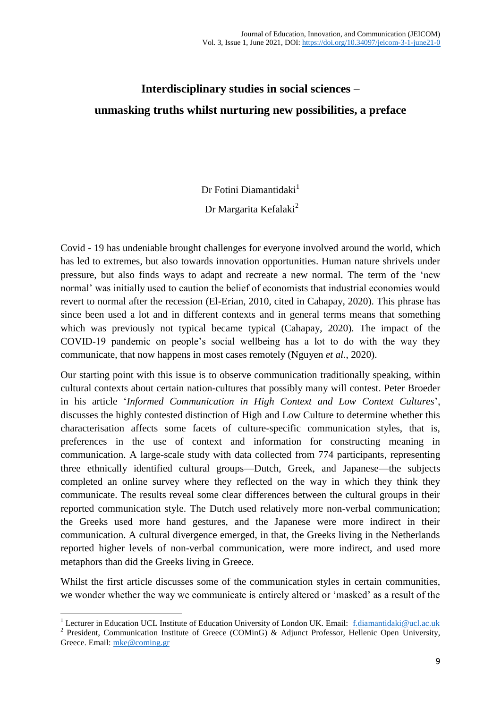## **Interdisciplinary studies in social sciences – unmasking truths whilst nurturing new possibilities, a preface**

Dr Fotini Diamantidaki $<sup>1</sup>$ </sup>

Dr Margarita Kefalaki<sup>2</sup>

Covid - 19 has undeniable brought challenges for everyone involved around the world, which has led to extremes, but also towards innovation opportunities. Human nature shrivels under pressure, but also finds ways to adapt and recreate a new normal. The term of the 'new normal' was initially used to caution the belief of economists that industrial economies would revert to normal after the recession (El-Erian, 2010, cited in Cahapay, 2020). This phrase has since been used a lot and in different contexts and in general terms means that something which was previously not typical became typical (Cahapay, 2020). The impact of the COVID-19 pandemic on people's social wellbeing has a lot to do with the way they communicate, that now happens in most cases remotely (Nguyen *et al.*, 2020).

Our starting point with this issue is to observe communication traditionally speaking, within cultural contexts about certain nation-cultures that possibly many will contest. Peter Broeder in his article '*Informed Communication in High Context and Low Context Cultures*', discusses the highly contested distinction of High and Low Culture to determine whether this characterisation affects some facets of culture-specific communication styles, that is, preferences in the use of context and information for constructing meaning in communication. A large-scale study with data collected from 774 participants, representing three ethnically identified cultural groups—Dutch, Greek, and Japanese—the subjects completed an online survey where they reflected on the way in which they think they communicate. The results reveal some clear differences between the cultural groups in their reported communication style. The Dutch used relatively more non-verbal communication; the Greeks used more hand gestures, and the Japanese were more indirect in their communication. A cultural divergence emerged, in that, the Greeks living in the Netherlands reported higher levels of non-verbal communication, were more indirect, and used more metaphors than did the Greeks living in Greece.

Whilst the first article discusses some of the communication styles in certain communities, we wonder whether the way we communicate is entirely altered or 'masked' as a result of the

<sup>1</sup> <sup>1</sup> Lecturer in Education UCL Institute of Education University of London UK. Email: [f.diamantidaki@ucl.ac.uk](mailto:f.diamantidaki@ucl.ac.uk) <sup>2</sup> President, Communication Institute of Greece (COMinG) & Adjunct Professor, Hellenic Open University, Greece. Email: [mke@coming.gr](mailto:mke@coming.gr)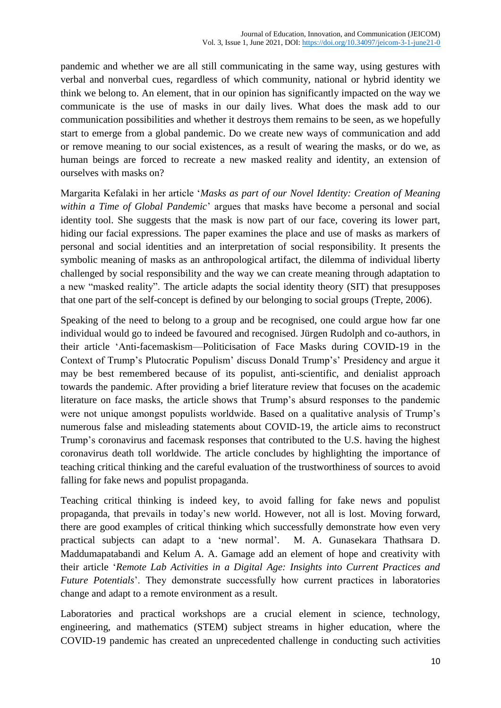pandemic and whether we are all still communicating in the same way, using gestures with verbal and nonverbal cues, regardless of which community, national or hybrid identity we think we belong to. An element, that in our opinion has significantly impacted on the way we communicate is the use of masks in our daily lives. What does the mask add to our communication possibilities and whether it destroys them remains to be seen, as we hopefully start to emerge from a global pandemic. Do we create new ways of communication and add or remove meaning to our social existences, as a result of wearing the masks, or do we, as human beings are forced to recreate a new masked reality and identity, an extension of ourselves with masks on?

Margarita Kefalaki in her article '*Masks as part of our Novel Identity: Creation of Meaning within a Time of Global Pandemic*' argues that masks have become a personal and social identity tool. She suggests that the mask is now part of our face, covering its lower part, hiding our facial expressions. The paper examines the place and use of masks as markers of personal and social identities and an interpretation of social responsibility. It presents the symbolic meaning of masks as an anthropological artifact, the dilemma of individual liberty challenged by social responsibility and the way we can create meaning through adaptation to a new "masked reality". The article adapts the social identity theory (SIT) that presupposes that one part of the self-concept is defined by our belonging to social groups (Trepte, 2006).

Speaking of the need to belong to a group and be recognised, one could argue how far one individual would go to indeed be favoured and recognised. Jürgen Rudolph and co-authors, in their article 'Anti-facemaskism—Politicisation of Face Masks during COVID-19 in the Context of Trump's Plutocratic Populism' discuss Donald Trump's' Presidency and argue it may be best remembered because of its populist, anti-scientific, and denialist approach towards the pandemic. After providing a brief literature review that focuses on the academic literature on face masks, the article shows that Trump's absurd responses to the pandemic were not unique amongst populists worldwide. Based on a qualitative analysis of Trump's numerous false and misleading statements about COVID-19, the article aims to reconstruct Trump's coronavirus and facemask responses that contributed to the U.S. having the highest coronavirus death toll worldwide. The article concludes by highlighting the importance of teaching critical thinking and the careful evaluation of the trustworthiness of sources to avoid falling for fake news and populist propaganda.

Teaching critical thinking is indeed key, to avoid falling for fake news and populist propaganda, that prevails in today's new world. However, not all is lost. Moving forward, there are good examples of critical thinking which successfully demonstrate how even very practical subjects can adapt to a 'new normal'. M. A. Gunasekara Thathsara D. Maddumapatabandi and Kelum A. A. Gamage add an element of hope and creativity with their article '*Remote Lab Activities in a Digital Age: Insights into Current Practices and Future Potentials*'. They demonstrate successfully how current practices in laboratories change and adapt to a remote environment as a result.

Laboratories and practical workshops are a crucial element in science, technology, engineering, and mathematics (STEM) subject streams in higher education, where the COVID-19 pandemic has created an unprecedented challenge in conducting such activities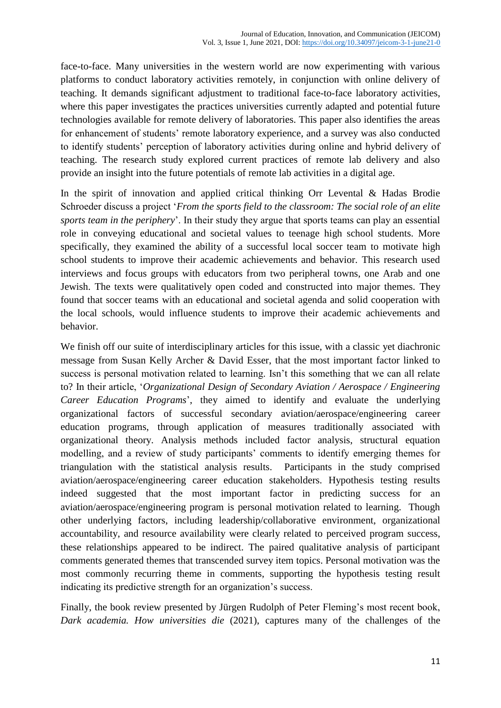face-to-face. Many universities in the western world are now experimenting with various platforms to conduct laboratory activities remotely, in conjunction with online delivery of teaching. It demands significant adjustment to traditional face-to-face laboratory activities, where this paper investigates the practices universities currently adapted and potential future technologies available for remote delivery of laboratories. This paper also identifies the areas for enhancement of students' remote laboratory experience, and a survey was also conducted to identify students' perception of laboratory activities during online and hybrid delivery of teaching. The research study explored current practices of remote lab delivery and also provide an insight into the future potentials of remote lab activities in a digital age.

In the spirit of innovation and applied critical thinking Orr Levental  $\&$  Hadas Brodie Schroeder discuss a project '*From the sports field to the classroom: The social role of an elite sports team in the periphery*'. In their study they argue that sports teams can play an essential role in conveying educational and societal values to teenage high school students. More specifically, they examined the ability of a successful local soccer team to motivate high school students to improve their academic achievements and behavior. This research used interviews and focus groups with educators from two peripheral towns, one Arab and one Jewish. The texts were qualitatively open coded and constructed into major themes. They found that soccer teams with an educational and societal agenda and solid cooperation with the local schools, would influence students to improve their academic achievements and behavior.

We finish off our suite of interdisciplinary articles for this issue, with a classic yet diachronic message from Susan Kelly Archer & David Esser, that the most important factor linked to success is personal motivation related to learning. Isn't this something that we can all relate to? In their article, '*Organizational Design of Secondary Aviation / Aerospace / Engineering Career Education Programs*', they aimed to identify and evaluate the underlying organizational factors of successful secondary aviation/aerospace/engineering career education programs, through application of measures traditionally associated with organizational theory. Analysis methods included factor analysis, structural equation modelling, and a review of study participants' comments to identify emerging themes for triangulation with the statistical analysis results. Participants in the study comprised aviation/aerospace/engineering career education stakeholders. Hypothesis testing results indeed suggested that the most important factor in predicting success for an aviation/aerospace/engineering program is personal motivation related to learning. Though other underlying factors, including leadership/collaborative environment, organizational accountability, and resource availability were clearly related to perceived program success, these relationships appeared to be indirect. The paired qualitative analysis of participant comments generated themes that transcended survey item topics. Personal motivation was the most commonly recurring theme in comments, supporting the hypothesis testing result indicating its predictive strength for an organization's success.

Finally, the book review presented by Jürgen Rudolph of Peter Fleming's most recent book, *Dark academia. How universities die* (2021), captures many of the challenges of the